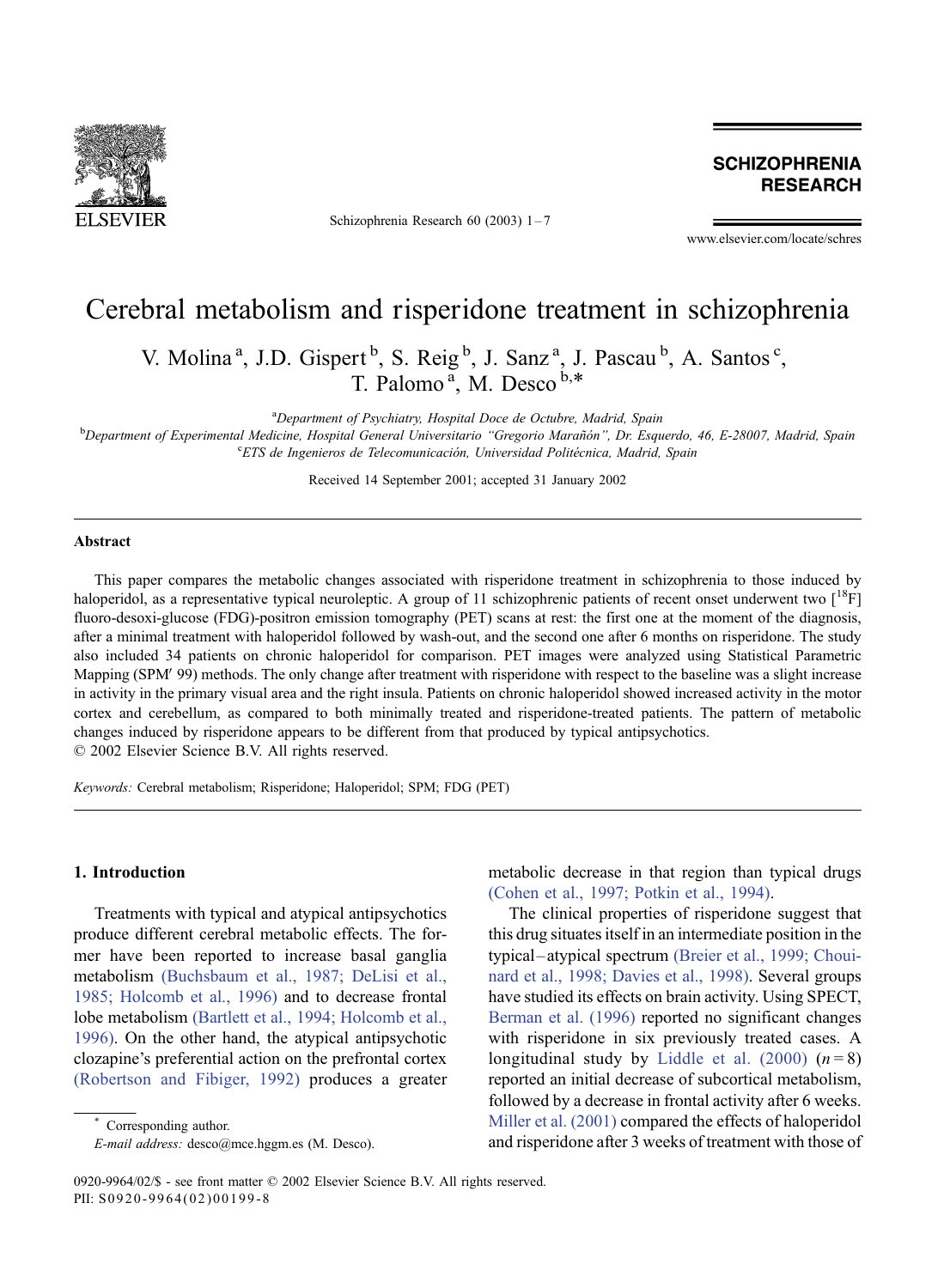

Schizophrenia Research 60 (2003) 1-7

**SCHIZOPHRENIA RESEARCH** 

www.elsevier.com/locate/schres

# Cerebral metabolism and risperidone treatment in schizophrenia

V. Molina<sup>a</sup>, J.D. Gispert<sup>b</sup>, S. Reig<sup>b</sup>, J. Sanz<sup>a</sup>, J. Pascau<sup>b</sup>, A. Santos<sup>c</sup>, T. Palomo<sup>a</sup>, M. Desco<sup>b,\*</sup>

<sup>a</sup>Department of Psychiatry, Hospital Doce de Octubre, Madrid, Spain <sup>a</sup>Department of Psychiatry, Hospital Doce de Octubre, Madrid, Spain<br><sup>b</sup>Department of Experimental Medicine, Hospital General Universitario, "Gregorio Marañón". Dr. Esco

Department of Experimental Medicine, Hospital General Universitario "Gregorio Marañón", Dr. Esquerdo, 46, E-28007, Madrid, Spain<br>CETS de Ingenieros de Telecomunicación Universidad Politécnica Madrid, Spain <sup>c</sup>ETS de Ingenieros de Telecomunicación, Universidad Politécnica, Madrid, Spain

Received 14 September 2001; accepted 31 January 2002

#### Abstract

This paper compares the metabolic changes associated with risperidone treatment in schizophrenia to those induced by haloperidol, as a representative typical neuroleptic. A group of 11 schizophrenic patients of recent onset underwent two  $[^{18}F]$ fluoro-desoxi-glucose (FDG)-positron emission tomography (PET) scans at rest: the first one at the moment of the diagnosis, after a minimal treatment with haloperidol followed by wash-out, and the second one after 6 months on risperidone. The study also included 34 patients on chronic haloperidol for comparison. PET images were analyzed using Statistical Parametric Mapping (SPM'99) methods. The only change after treatment with risperidone with respect to the baseline was a slight increase in activity in the primary visual area and the right insula. Patients on chronic haloperidol showed increased activity in the motor cortex and cerebellum, as compared to both minimally treated and risperidone-treated patients. The pattern of metabolic changes induced by risperidone appears to be different from that produced by typical antipsychotics.  $\odot$  2002 Elsevier Science B.V. All rights reserved.

Keywords: Cerebral metabolism; Risperidone; Haloperidol; SPM; FDG (PET)

#### 1. Introduction

Treatments with typical and atypical antipsychotics produce different cerebral metabolic effects. The former have been reported to increase basal ganglia metabolism [\(Buchsbaum et al., 1987; DeLisi et al.,](#page-5-0) 1985; Holcomb et al., 1996) and to decrease frontal lobe metabolism [\(Bartlett et al., 1994; Holcomb et al.,](#page-5-0) 1996). On the other hand, the atypical antipsychotic clozapine's preferential action on the prefrontal cortex [\(Robertson and Fibiger, 1992\)](#page-6-0) produces a greater

Corresponding author.

metabolic decrease in that region than typical drugs [\(Cohen et al., 1997; Potkin et al., 1994\).](#page-5-0)

The clinical properties of risperidone suggest that this drug situates itself in an intermediate position in the typical –atypical spectrum [\(Breier et al., 1999; Choui](#page-5-0)nard et al., 1998; Davies et al., 1998). Several groups have studied its effects on brain activity. Using SPECT, [Berman et al. \(1996\)](#page-5-0) reported no significant changes with risperidone in six previously treated cases. A longitudinal study by [Liddle et al. \(2000\)](#page-6-0)  $(n=8)$ reported an initial decrease of subcortical metabolism, followed by a decrease in frontal activity after 6 weeks. [Miller et al. \(2001\)](#page-6-0) compared the effects of haloperidol and risperidone after 3 weeks of treatment with those of

E-mail address: desco@mce.hggm.es (M. Desco).

<sup>0920-9964/02/\$ -</sup> see front matter © 2002 Elsevier Science B.V. All rights reserved. PII: S0920-9964(02)00199-8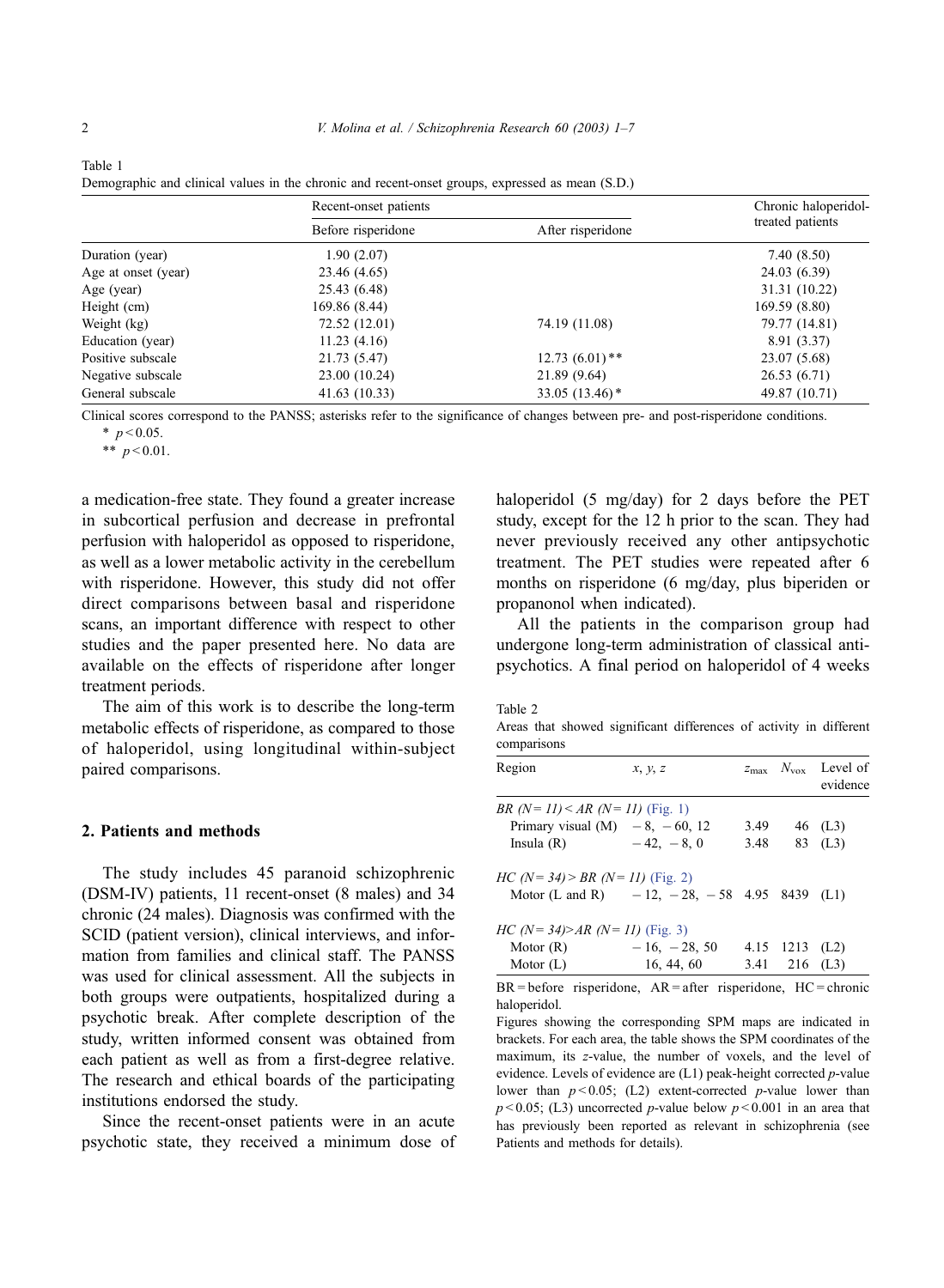|                     | Recent-onset patients |                              | Chronic haloperidol- |  |
|---------------------|-----------------------|------------------------------|----------------------|--|
|                     | Before risperidone    | After risperidone            | treated patients     |  |
| Duration (year)     | 1.90(2.07)            |                              | 7.40(8.50)           |  |
| Age at onset (year) | 23.46 (4.65)          |                              | 24.03 (6.39)         |  |
| Age (year)          | 25.43 (6.48)          |                              | 31.31 (10.22)        |  |
| Height (cm)         | 169.86 (8.44)         |                              | 169.59 (8.80)        |  |
| Weight (kg)         | 72.52 (12.01)         | 74.19 (11.08)                | 79.77 (14.81)        |  |
| Education (year)    | 11.23(4.16)           |                              | 8.91 (3.37)          |  |
| Positive subscale   | 21.73 (5.47)          | $12.73(6.01)$ **             | 23.07 (5.68)         |  |
| Negative subscale   | 23.00 (10.24)         | 21.89 (9.64)                 | 26.53(6.71)          |  |
| General subscale    | 41.63(10.33)          | 33.05 $(13.46)$ <sup>*</sup> | 49.87 (10.71)        |  |

Demographic and clinical values in the chronic and recent-onset groups, expressed as mean  $(S, D)$ 

Clinical scores correspond to the PANSS; asterisks refer to the significance of changes between pre- and post-risperidone conditions.

 $*$   $p < 0.05$ .

\*\*  $p < 0.01$ .

a medication-free state. They found a greater increase in subcortical perfusion and decrease in prefrontal perfusion with haloperidol as opposed to risperidone, as well as a lower metabolic activity in the cerebellum with risperidone. However, this study did not offer direct comparisons between basal and risperidone scans, an important difference with respect to other studies and the paper presented here. No data are available on the effects of risperidone after longer treatment periods.

The aim of this work is to describe the long-term metabolic effects of risperidone, as compared to those of haloperidol, using longitudinal within-subject paired comparisons.

### 2. Patients and methods

The study includes 45 paranoid schizophrenic (DSM-IV) patients, 11 recent-onset (8 males) and 34 chronic (24 males). Diagnosis was confirmed with the SCID (patient version), clinical interviews, and information from families and clinical staff. The PANSS was used for clinical assessment. All the subjects in both groups were outpatients, hospitalized during a psychotic break. After complete description of the study, written informed consent was obtained from each patient as well as from a first-degree relative. The research and ethical boards of the participating institutions endorsed the study.

Since the recent-onset patients were in an acute psychotic state, they received a minimum dose of haloperidol (5 mg/day) for 2 days before the PET study, except for the 12 h prior to the scan. They had never previously received any other antipsychotic treatment. The PET studies were repeated after 6 months on risperidone (6 mg/day, plus biperiden or propanonol when indicated).

All the patients in the comparison group had undergone long-term administration of classical antipsychotics. A final period on haloperidol of 4 weeks

|--|--|

Areas that showed significant differences of activity in different comparisons

| Region                                                           | x, y, z                                              |      |                  | $z_{\text{max}}$ $N_{\text{vox}}$ Level of<br>evidence |
|------------------------------------------------------------------|------------------------------------------------------|------|------------------|--------------------------------------------------------|
| <i>BR (N = 11)</i> < <i>AR (N = 11)</i> (Fig. 1)                 |                                                      |      |                  |                                                        |
| Primary visual $(M)$ - 8, -60, 12                                |                                                      | 3.49 |                  | 46 (L3)                                                |
| Insula $(R)$                                                     | $-42, -8, 0$                                         | 3.48 |                  | 83 (L3)                                                |
| <i>HC</i> ( <i>N</i> = 34) > <i>BR</i> ( <i>N</i> = 11) (Fig. 2) |                                                      |      |                  |                                                        |
|                                                                  | Motor (L and R) $-12$ , $-28$ , $-58$ 4.95 8439 (L1) |      |                  |                                                        |
| <i>HC (N = 34)&gt;AR (N = 11)</i> (Fig. 3)                       |                                                      |      |                  |                                                        |
| Motor (R) $-16, -28, 50$                                         |                                                      |      | 4.15 $1213$ (L2) |                                                        |
| Motor $(L)$                                                      | 16, 44, 60                                           |      | 3.41 216 $(L3)$  |                                                        |

 $BR = before$  risperidone,  $AR = after$  risperidone,  $HC = chronic$ haloperidol.

Figures showing the corresponding SPM maps are indicated in brackets. For each area, the table shows the SPM coordinates of the maximum, its z-value, the number of voxels, and the level of evidence. Levels of evidence are (L1) peak-height corrected p-value lower than  $p < 0.05$ ; (L2) extent-corrected p-value lower than  $p < 0.05$ ; (L3) uncorrected p-value below  $p < 0.001$  in an area that has previously been reported as relevant in schizophrenia (see Patients and methods for details).

<span id="page-1-0"></span>Table 1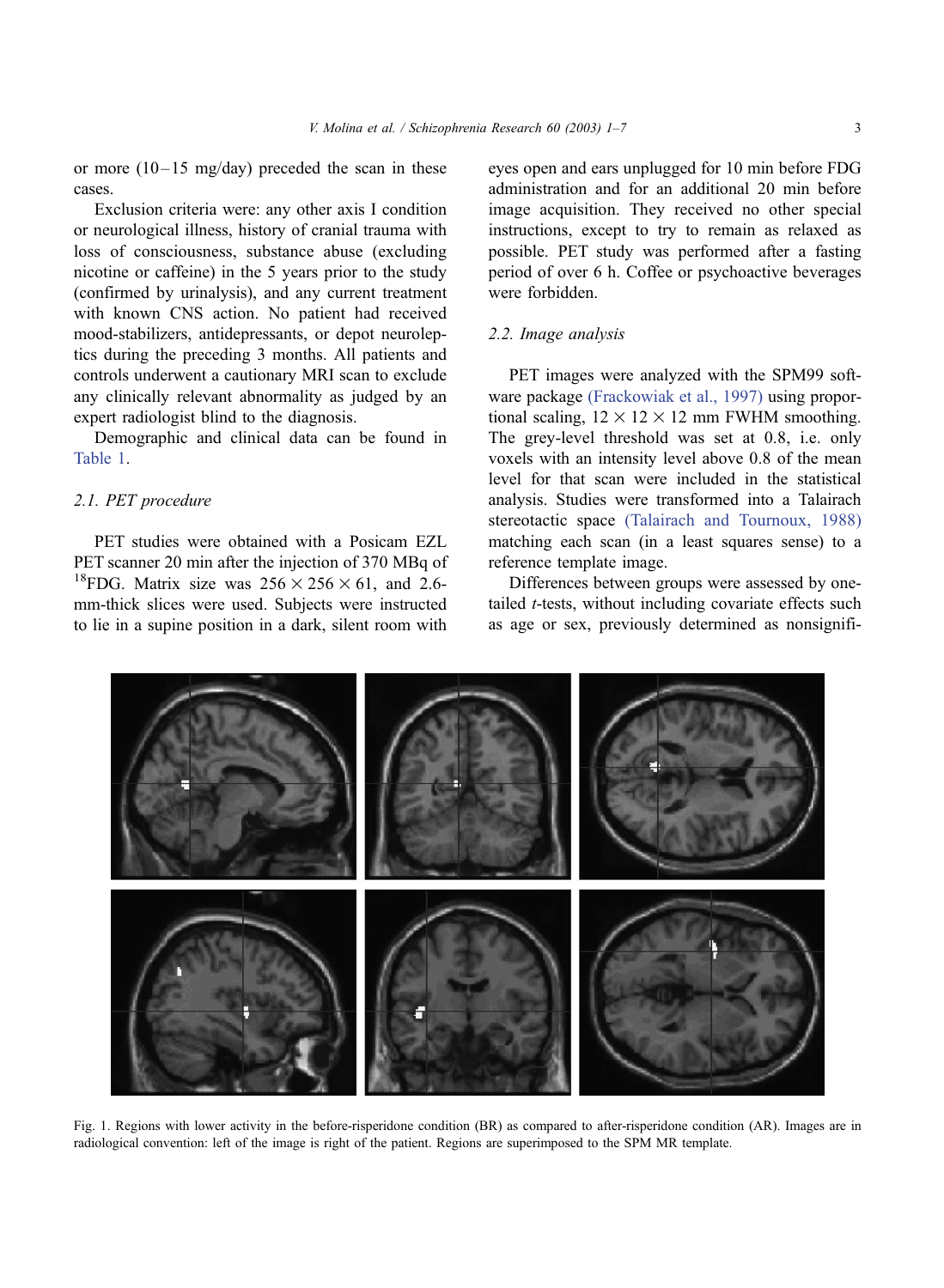<span id="page-2-0"></span>or more  $(10-15 \text{ mg/day})$  preceded the scan in these cases.

Exclusion criteria were: any other axis I condition or neurological illness, history of cranial trauma with loss of consciousness, substance abuse (excluding nicotine or caffeine) in the 5 years prior to the study (confirmed by urinalysis), and any current treatment with known CNS action. No patient had received mood-stabilizers, antidepressants, or depot neuroleptics during the preceding 3 months. All patients and controls underwent a cautionary MRI scan to exclude any clinically relevant abnormality as judged by an expert radiologist blind to the diagnosis.

Demographic and clinical data can be found in [Table 1.](#page-1-0)

# 2.1. PET procedure

PET studies were obtained with a Posicam EZL PET scanner 20 min after the injection of 370 MBq of <sup>18</sup>FDG. Matrix size was  $256 \times 256 \times 61$ , and 2.6mm-thick slices were used. Subjects were instructed to lie in a supine position in a dark, silent room with eyes open and ears unplugged for 10 min before FDG administration and for an additional 20 min before image acquisition. They received no other special instructions, except to try to remain as relaxed as possible. PET study was performed after a fasting period of over 6 h. Coffee or psychoactive beverages were forbidden.

# 2.2. Image analysis

PET images were analyzed with the SPM99 software package [\(Frackowiak et al., 1997\)](#page-6-0) using proportional scaling,  $12 \times 12 \times 12$  mm FWHM smoothing. The grey-level threshold was set at 0.8, i.e. only voxels with an intensity level above 0.8 of the mean level for that scan were included in the statistical analysis. Studies were transformed into a Talairach stereotactic space [\(Talairach and Tournoux, 1988\)](#page-6-0) matching each scan (in a least squares sense) to a reference template image.

Differences between groups were assessed by onetailed *t*-tests, without including covariate effects such as age or sex, previously determined as nonsignifi-



Fig. 1. Regions with lower activity in the before-risperidone condition (BR) as compared to after-risperidone condition (AR). Images are in radiological convention: left of the image is right of the patient. Regions are superimposed to the SPM MR template.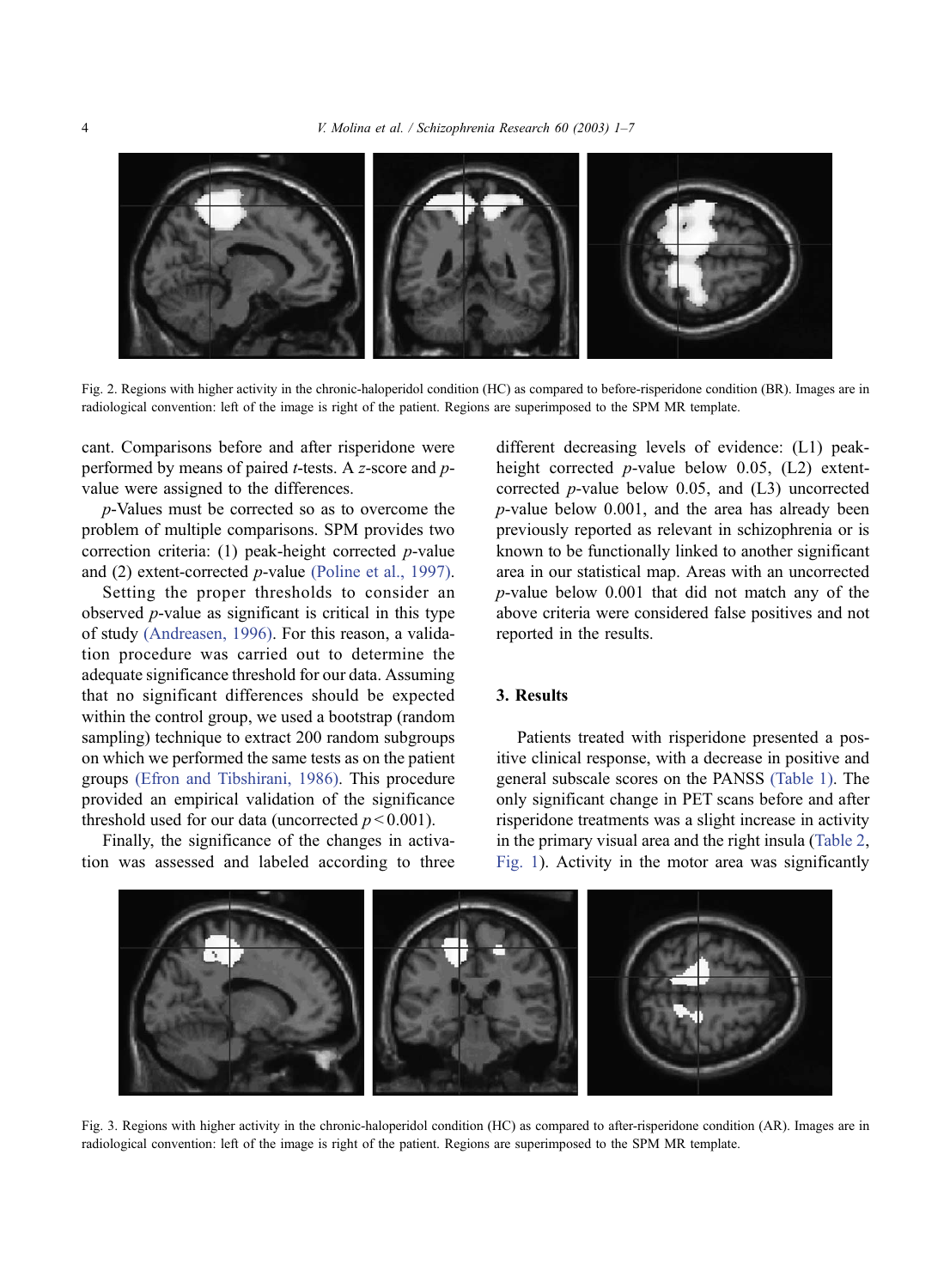<span id="page-3-0"></span>

Fig. 2. Regions with higher activity in the chronic-haloperidol condition (HC) as compared to before-risperidone condition (BR). Images are in radiological convention: left of the image is right of the patient. Regions are superimposed to the SPM MR template.

cant. Comparisons before and after risperidone were performed by means of paired  $t$ -tests. A z-score and  $p$ value were assigned to the differences.

p-Values must be corrected so as to overcome the problem of multiple comparisons. SPM provides two correction criteria: (1) peak-height corrected  $p$ -value and (2) extent-corrected p-value [\(Poline et al., 1997\).](#page-6-0)

Setting the proper thresholds to consider an observed p-value as significant is critical in this type of study [\(Andreasen, 1996\).](#page-5-0) For this reason, a validation procedure was carried out to determine the adequate significance threshold for our data. Assuming that no significant differences should be expected within the control group, we used a bootstrap (random sampling) technique to extract 200 random subgroups on which we performed the same tests as on the patient groups [\(Efron and Tibshirani, 1986\).](#page-6-0) This procedure provided an empirical validation of the significance threshold used for our data (uncorrected  $p < 0.001$ ).

Finally, the significance of the changes in activation was assessed and labeled according to three

different decreasing levels of evidence: (L1) peakheight corrected *p*-value below 0.05,  $(L2)$  extentcorrected p-value below 0.05, and (L3) uncorrected p-value below 0.001, and the area has already been previously reported as relevant in schizophrenia or is known to be functionally linked to another significant area in our statistical map. Areas with an uncorrected p-value below 0.001 that did not match any of the above criteria were considered false positives and not reported in the results.

# 3. Results

Patients treated with risperidone presented a positive clinical response, with a decrease in positive and general subscale scores on the PANSS [\(Table 1\).](#page-1-0) The only significant change in PET scans before and after risperidone treatments was a slight increase in activity in the primary visual area and the right insula ([Table 2,](#page-1-0) [Fig. 1\)](#page-2-0). Activity in the motor area was significantly



Fig. 3. Regions with higher activity in the chronic-haloperidol condition (HC) as compared to after-risperidone condition (AR). Images are in radiological convention: left of the image is right of the patient. Regions are superimposed to the SPM MR template.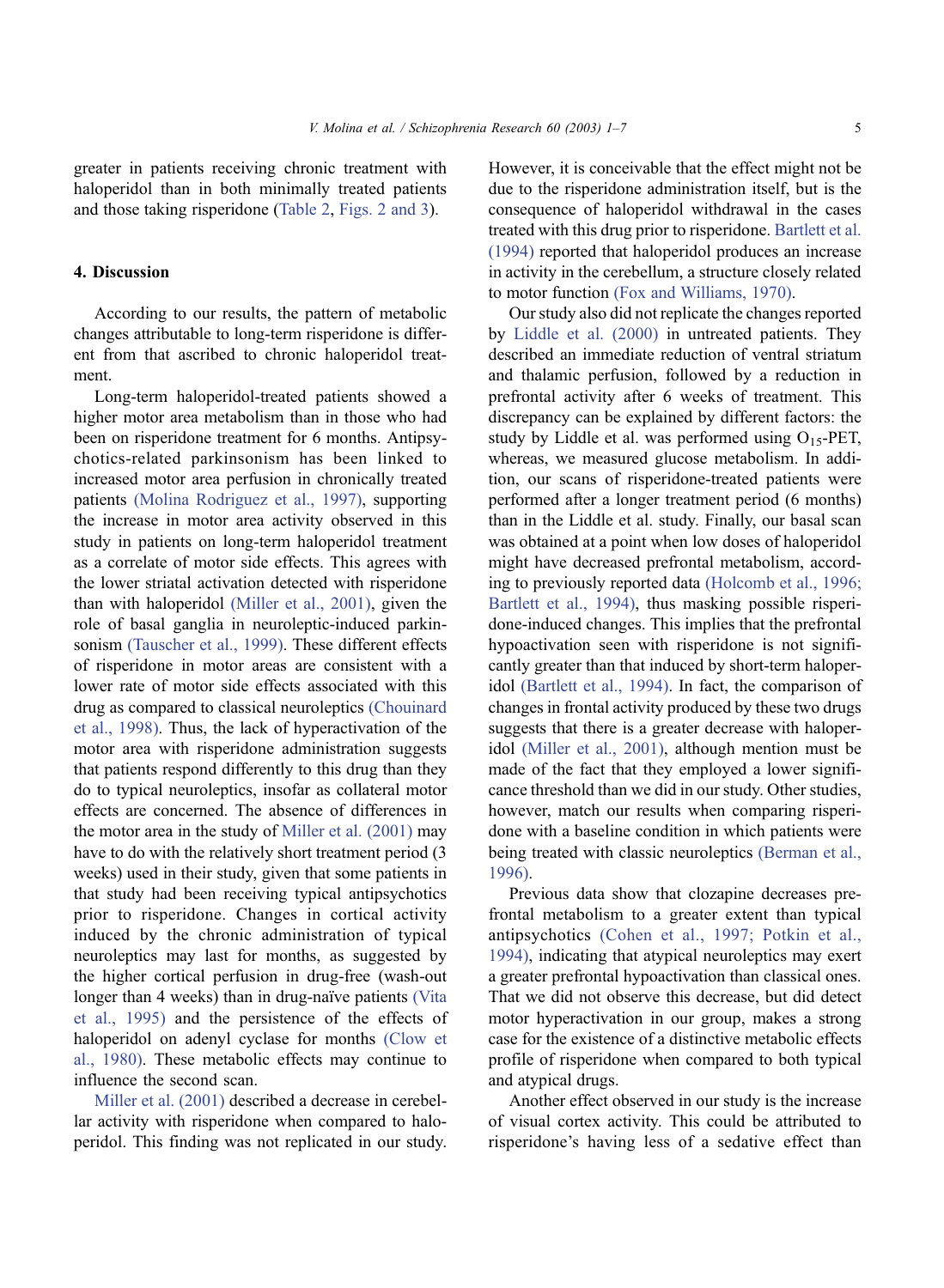greater in patients receiving chronic treatment with haloperidol than in both minimally treated patients and those taking risperidone ([Table 2,](#page-1-0) [Figs. 2 and 3\)](#page-3-0).

# 4. Discussion

According to our results, the pattern of metabolic changes attributable to long-term risperidone is different from that ascribed to chronic haloperidol treatment.

Long-term haloperidol-treated patients showed a higher motor area metabolism than in those who had been on risperidone treatment for 6 months. Antipsychotics-related parkinsonism has been linked to increased motor area perfusion in chronically treated patients [\(Molina Rodriguez et al., 1997\),](#page-6-0) supporting the increase in motor area activity observed in this study in patients on long-term haloperidol treatment as a correlate of motor side effects. This agrees with the lower striatal activation detected with risperidone than with haloperidol [\(Miller et al., 2001\),](#page-6-0) given the role of basal ganglia in neuroleptic-induced parkinsonism [\(Tauscher et al., 1999\).](#page-6-0) These different effects of risperidone in motor areas are consistent with a lower rate of motor side effects associated with this drug as compared to classical neuroleptics [\(Chouinard](#page-5-0) et al., 1998). Thus, the lack of hyperactivation of the motor area with risperidone administration suggests that patients respond differently to this drug than they do to typical neuroleptics, insofar as collateral motor effects are concerned. The absence of differences in the motor area in the study of [Miller et al. \(2001\)](#page-6-0) may have to do with the relatively short treatment period (3 weeks) used in their study, given that some patients in that study had been receiving typical antipsychotics prior to risperidone. Changes in cortical activity induced by the chronic administration of typical neuroleptics may last for months, as suggested by the higher cortical perfusion in drug-free (wash-out longer than 4 weeks) than in drug-naïve patients [\(Vita](#page-6-0) et al., 1995) and the persistence of the effects of haloperidol on adenyl cyclase for months [\(Clow et](#page-5-0) al., 1980). These metabolic effects may continue to influence the second scan.

[Miller et al. \(2001\)](#page-6-0) described a decrease in cerebellar activity with risperidone when compared to haloperidol. This finding was not replicated in our study. However, it is conceivable that the effect might not be due to the risperidone administration itself, but is the consequence of haloperidol withdrawal in the cases treated with this drug prior to risperidone. [Bartlett et al.](#page-5-0) (1994) reported that haloperidol produces an increase in activity in the cerebellum, a structure closely related to motor function [\(Fox and Williams, 1970\).](#page-6-0)

Our study also did not replicate the changes reported by [Liddle et al. \(2000\)](#page-6-0) in untreated patients. They described an immediate reduction of ventral striatum and thalamic perfusion, followed by a reduction in prefrontal activity after 6 weeks of treatment. This discrepancy can be explained by different factors: the study by Liddle et al. was performed using  $O_{15}$ -PET, whereas, we measured glucose metabolism. In addition, our scans of risperidone-treated patients were performed after a longer treatment period (6 months) than in the Liddle et al. study. Finally, our basal scan was obtained at a point when low doses of haloperidol might have decreased prefrontal metabolism, according to previously reported data [\(Holcomb et al., 1996;](#page-6-0) Bartlett et al., 1994), thus masking possible risperidone-induced changes. This implies that the prefrontal hypoactivation seen with risperidone is not significantly greater than that induced by short-term haloperidol [\(Bartlett et al., 1994\).](#page-5-0) In fact, the comparison of changes in frontal activity produced by these two drugs suggests that there is a greater decrease with haloperidol [\(Miller et al., 2001\),](#page-6-0) although mention must be made of the fact that they employed a lower significance threshold than we did in our study. Other studies, however, match our results when comparing risperidone with a baseline condition in which patients were being treated with classic neuroleptics [\(Berman et al.,](#page-5-0) 1996).

Previous data show that clozapine decreases prefrontal metabolism to a greater extent than typical antipsychotics [\(Cohen et al., 1997; Potkin et al.,](#page-5-0) 1994), indicating that atypical neuroleptics may exert a greater prefrontal hypoactivation than classical ones. That we did not observe this decrease, but did detect motor hyperactivation in our group, makes a strong case for the existence of a distinctive metabolic effects profile of risperidone when compared to both typical and atypical drugs.

Another effect observed in our study is the increase of visual cortex activity. This could be attributed to risperidone's having less of a sedative effect than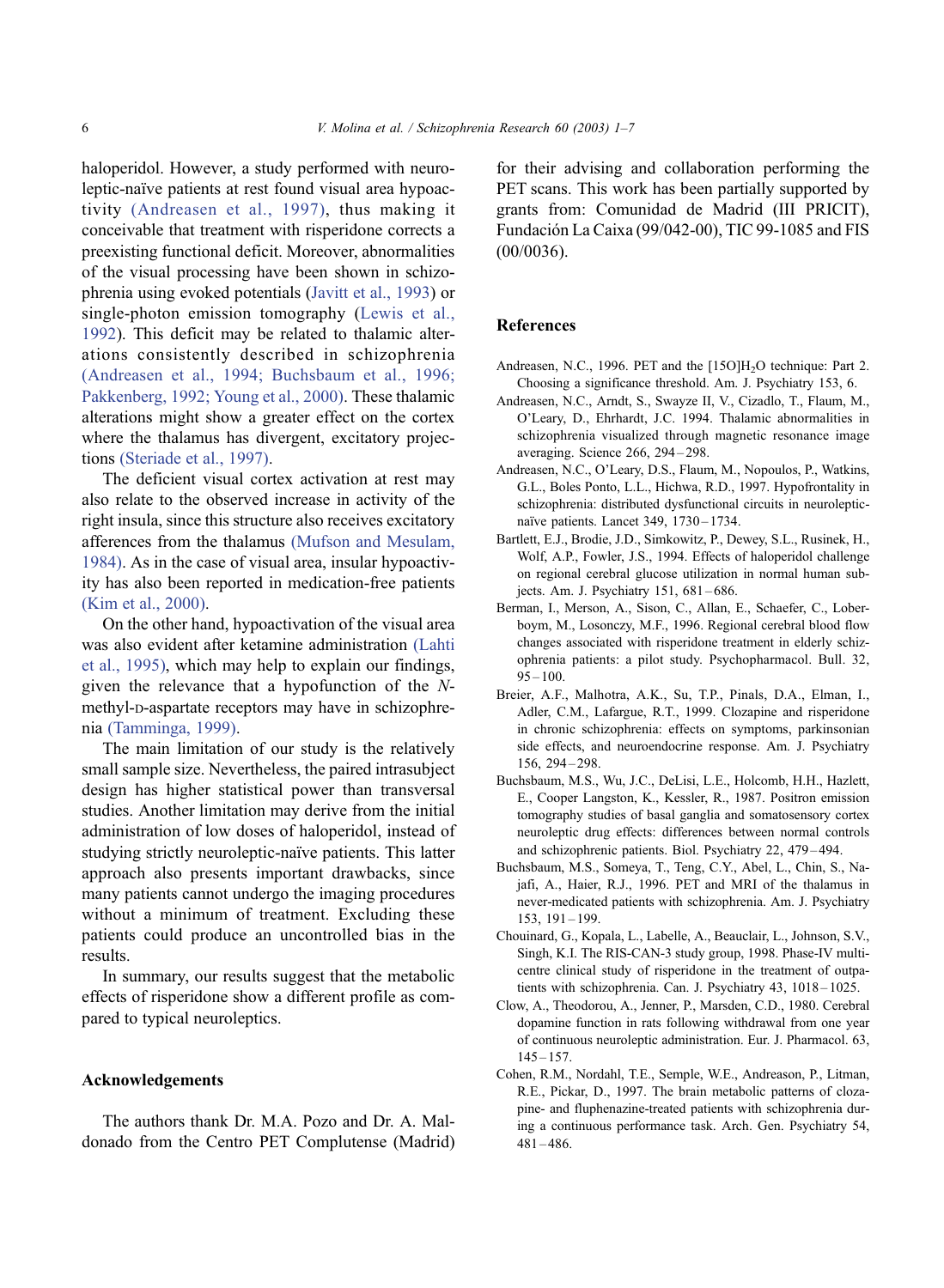<span id="page-5-0"></span>haloperidol. However, a study performed with neuroleptic-naïve patients at rest found visual area hypoactivity (Andreasen et al., 1997), thus making it conceivable that treatment with risperidone corrects a preexisting functional deficit. Moreover, abnormalities of the visual processing have been shown in schizophrenia using evoked potentials ([Javitt et al., 1993\)](#page-6-0) or single-photon emission tomography ([Lewis et al.,](#page-6-0) 1992). This deficit may be related to thalamic alterations consistently described in schizophrenia (Andreasen et al., 1994; Buchsbaum et al., 1996; Pakkenberg, 1992; Young et al., 2000). These thalamic alterations might show a greater effect on the cortex where the thalamus has divergent, excitatory projections [\(Steriade et al., 1997\).](#page-6-0)

The deficient visual cortex activation at rest may also relate to the observed increase in activity of the right insula, since this structure also receives excitatory afferences from the thalamus [\(Mufson and Mesulam,](#page-6-0) 1984). As in the case of visual area, insular hypoactivity has also been reported in medication-free patients [\(Kim et al., 2000\).](#page-6-0)

On the other hand, hypoactivation of the visual area was also evident after ketamine administration [\(Lahti](#page-6-0) et al., 1995), which may help to explain our findings, given the relevance that a hypofunction of the Nmethyl-D-aspartate receptors may have in schizophrenia [\(Tamminga, 1999\).](#page-6-0)

The main limitation of our study is the relatively small sample size. Nevertheless, the paired intrasubject design has higher statistical power than transversal studies. Another limitation may derive from the initial administration of low doses of haloperidol, instead of studying strictly neuroleptic-naïve patients. This latter approach also presents important drawbacks, since many patients cannot undergo the imaging procedures without a minimum of treatment. Excluding these patients could produce an uncontrolled bias in the results.

In summary, our results suggest that the metabolic effects of risperidone show a different profile as compared to typical neuroleptics.

### Acknowledgements

The authors thank Dr. M.A. Pozo and Dr. A. Maldonado from the Centro PET Complutense (Madrid) for their advising and collaboration performing the PET scans. This work has been partially supported by grants from: Comunidad de Madrid (III PRICIT), Fundación La Caixa (99/042-00), TIC 99-1085 and FIS (00/0036).

#### References

- Andreasen, N.C., 1996. PET and the [15O]H<sub>2</sub>O technique: Part 2. Choosing a significance threshold. Am. J. Psychiatry 153, 6.
- Andreasen, N.C., Arndt, S., Swayze II, V., Cizadlo, T., Flaum, M., O'Leary, D., Ehrhardt, J.C. 1994. Thalamic abnormalities in schizophrenia visualized through magnetic resonance image averaging. Science 266, 294 – 298.
- Andreasen, N.C., O'Leary, D.S., Flaum, M., Nopoulos, P., Watkins, G.L., Boles Ponto, L.L., Hichwa, R.D., 1997. Hypofrontality in schizophrenia: distributed dysfunctional circuits in neurolepticnaïve patients. Lancet 349, 1730 – 1734.
- Bartlett, E.J., Brodie, J.D., Simkowitz, P., Dewey, S.L., Rusinek, H., Wolf, A.P., Fowler, J.S., 1994. Effects of haloperidol challenge on regional cerebral glucose utilization in normal human subjects. Am. J. Psychiatry 151, 681-686.
- Berman, I., Merson, A., Sison, C., Allan, E., Schaefer, C., Loberboym, M., Losonczy, M.F., 1996. Regional cerebral blood flow changes associated with risperidone treatment in elderly schizophrenia patients: a pilot study. Psychopharmacol. Bull. 32,  $95 - 100.$
- Breier, A.F., Malhotra, A.K., Su, T.P., Pinals, D.A., Elman, I., Adler, C.M., Lafargue, R.T., 1999. Clozapine and risperidone in chronic schizophrenia: effects on symptoms, parkinsonian side effects, and neuroendocrine response. Am. J. Psychiatry 156, 294 – 298.
- Buchsbaum, M.S., Wu, J.C., DeLisi, L.E., Holcomb, H.H., Hazlett, E., Cooper Langston, K., Kessler, R., 1987. Positron emission tomography studies of basal ganglia and somatosensory cortex neuroleptic drug effects: differences between normal controls and schizophrenic patients. Biol. Psychiatry 22, 479 – 494.
- Buchsbaum, M.S., Someya, T., Teng, C.Y., Abel, L., Chin, S., Najafi, A., Haier, R.J., 1996. PET and MRI of the thalamus in never-medicated patients with schizophrenia. Am. J. Psychiatry 153, 191 – 199.
- Chouinard, G., Kopala, L., Labelle, A., Beauclair, L., Johnson, S.V., Singh, K.I. The RIS-CAN-3 study group, 1998. Phase-IV multicentre clinical study of risperidone in the treatment of outpatients with schizophrenia. Can. J. Psychiatry 43, 1018-1025.
- Clow, A., Theodorou, A., Jenner, P., Marsden, C.D., 1980. Cerebral dopamine function in rats following withdrawal from one year of continuous neuroleptic administration. Eur. J. Pharmacol. 63,  $145 - 157$ .
- Cohen, R.M., Nordahl, T.E., Semple, W.E., Andreason, P., Litman, R.E., Pickar, D., 1997. The brain metabolic patterns of clozapine- and fluphenazine-treated patients with schizophrenia during a continuous performance task. Arch. Gen. Psychiatry 54,  $481 - 486$ .